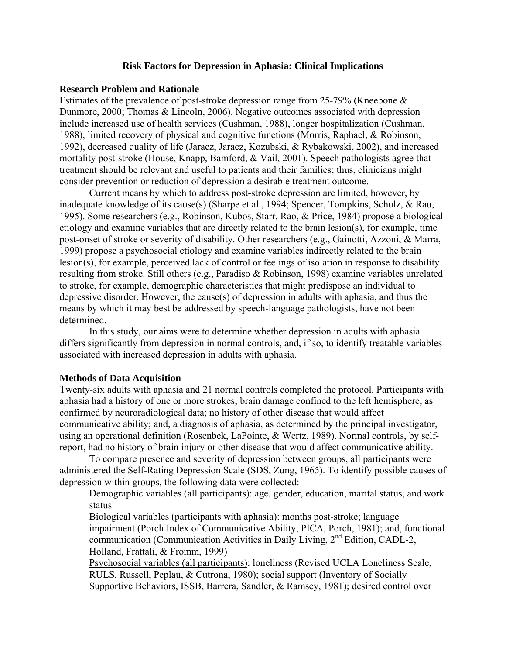### **Risk Factors for Depression in Aphasia: Clinical Implications**

### **Research Problem and Rationale**

Estimates of the prevalence of post-stroke depression range from 25-79% (Kneebone & Dunmore, 2000; Thomas & Lincoln, 2006). Negative outcomes associated with depression include increased use of health services (Cushman, 1988), longer hospitalization (Cushman, 1988), limited recovery of physical and cognitive functions (Morris, Raphael, & Robinson, 1992), decreased quality of life (Jaracz, Jaracz, Kozubski, & Rybakowski, 2002), and increased mortality post-stroke (House, Knapp, Bamford, & Vail, 2001). Speech pathologists agree that treatment should be relevant and useful to patients and their families; thus, clinicians might consider prevention or reduction of depression a desirable treatment outcome.

 Current means by which to address post-stroke depression are limited, however, by inadequate knowledge of its cause(s) (Sharpe et al., 1994; Spencer, Tompkins, Schulz, & Rau, 1995). Some researchers (e.g., Robinson, Kubos, Starr, Rao, & Price, 1984) propose a biological etiology and examine variables that are directly related to the brain lesion(s), for example, time post-onset of stroke or severity of disability. Other researchers (e.g., Gainotti, Azzoni, & Marra, 1999) propose a psychosocial etiology and examine variables indirectly related to the brain lesion(s), for example, perceived lack of control or feelings of isolation in response to disability resulting from stroke. Still others (e.g., Paradiso & Robinson, 1998) examine variables unrelated to stroke, for example, demographic characteristics that might predispose an individual to depressive disorder. However, the cause(s) of depression in adults with aphasia, and thus the means by which it may best be addressed by speech-language pathologists, have not been determined.

 In this study, our aims were to determine whether depression in adults with aphasia differs significantly from depression in normal controls, and, if so, to identify treatable variables associated with increased depression in adults with aphasia.

#### **Methods of Data Acquisition**

Twenty-six adults with aphasia and 21 normal controls completed the protocol. Participants with aphasia had a history of one or more strokes; brain damage confined to the left hemisphere, as confirmed by neuroradiological data; no history of other disease that would affect communicative ability; and, a diagnosis of aphasia, as determined by the principal investigator, using an operational definition (Rosenbek, LaPointe, & Wertz, 1989). Normal controls, by selfreport, had no history of brain injury or other disease that would affect communicative ability.

To compare presence and severity of depression between groups, all participants were administered the Self-Rating Depression Scale (SDS, Zung, 1965). To identify possible causes of depression within groups, the following data were collected:

Demographic variables (all participants): age, gender, education, marital status, and work status

Biological variables (participants with aphasia): months post-stroke; language impairment (Porch Index of Communicative Ability, PICA, Porch, 1981); and, functional communication (Communication Activities in Daily Living, 2<sup>nd</sup> Edition, CADL-2, Holland, Frattali, & Fromm, 1999)

Psychosocial variables (all participants): loneliness (Revised UCLA Loneliness Scale, RULS, Russell, Peplau, & Cutrona, 1980); social support (Inventory of Socially Supportive Behaviors, ISSB, Barrera, Sandler, & Ramsey, 1981); desired control over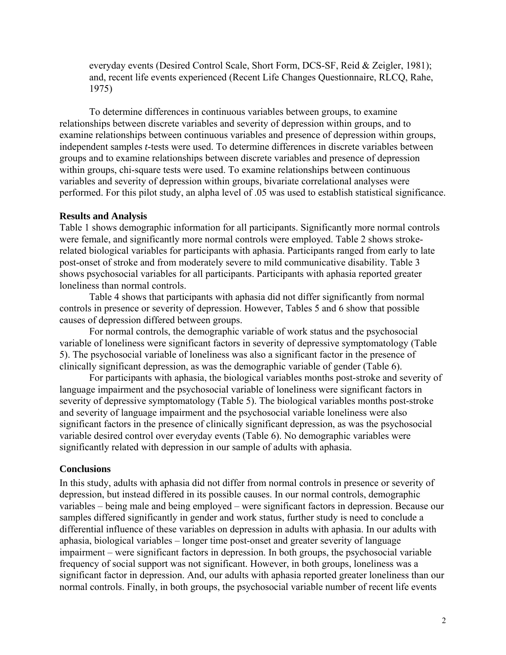everyday events (Desired Control Scale, Short Form, DCS-SF, Reid & Zeigler, 1981); and, recent life events experienced (Recent Life Changes Questionnaire, RLCQ, Rahe, 1975)

To determine differences in continuous variables between groups, to examine relationships between discrete variables and severity of depression within groups, and to examine relationships between continuous variables and presence of depression within groups, independent samples *t*-tests were used. To determine differences in discrete variables between groups and to examine relationships between discrete variables and presence of depression within groups, chi-square tests were used. To examine relationships between continuous variables and severity of depression within groups, bivariate correlational analyses were performed. For this pilot study, an alpha level of .05 was used to establish statistical significance.

#### **Results and Analysis**

Table 1 shows demographic information for all participants. Significantly more normal controls were female, and significantly more normal controls were employed. Table 2 shows strokerelated biological variables for participants with aphasia. Participants ranged from early to late post-onset of stroke and from moderately severe to mild communicative disability. Table 3 shows psychosocial variables for all participants. Participants with aphasia reported greater loneliness than normal controls.

Table 4 shows that participants with aphasia did not differ significantly from normal controls in presence or severity of depression. However, Tables 5 and 6 show that possible causes of depression differed between groups.

For normal controls, the demographic variable of work status and the psychosocial variable of loneliness were significant factors in severity of depressive symptomatology (Table 5). The psychosocial variable of loneliness was also a significant factor in the presence of clinically significant depression, as was the demographic variable of gender (Table 6).

For participants with aphasia, the biological variables months post-stroke and severity of language impairment and the psychosocial variable of loneliness were significant factors in severity of depressive symptomatology (Table 5). The biological variables months post-stroke and severity of language impairment and the psychosocial variable loneliness were also significant factors in the presence of clinically significant depression, as was the psychosocial variable desired control over everyday events (Table 6). No demographic variables were significantly related with depression in our sample of adults with aphasia.

#### **Conclusions**

In this study, adults with aphasia did not differ from normal controls in presence or severity of depression, but instead differed in its possible causes. In our normal controls, demographic variables – being male and being employed – were significant factors in depression. Because our samples differed significantly in gender and work status, further study is need to conclude a differential influence of these variables on depression in adults with aphasia. In our adults with aphasia, biological variables – longer time post-onset and greater severity of language impairment – were significant factors in depression. In both groups, the psychosocial variable frequency of social support was not significant. However, in both groups, loneliness was a significant factor in depression. And, our adults with aphasia reported greater loneliness than our normal controls. Finally, in both groups, the psychosocial variable number of recent life events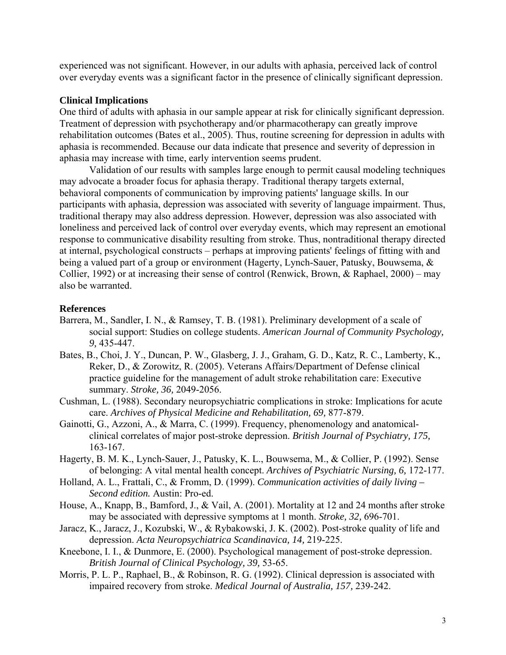experienced was not significant. However, in our adults with aphasia, perceived lack of control over everyday events was a significant factor in the presence of clinically significant depression.

### **Clinical Implications**

One third of adults with aphasia in our sample appear at risk for clinically significant depression. Treatment of depression with psychotherapy and/or pharmacotherapy can greatly improve rehabilitation outcomes (Bates et al., 2005). Thus, routine screening for depression in adults with aphasia is recommended. Because our data indicate that presence and severity of depression in aphasia may increase with time, early intervention seems prudent.

Validation of our results with samples large enough to permit causal modeling techniques may advocate a broader focus for aphasia therapy. Traditional therapy targets external, behavioral components of communication by improving patients' language skills. In our participants with aphasia, depression was associated with severity of language impairment. Thus, traditional therapy may also address depression. However, depression was also associated with loneliness and perceived lack of control over everyday events, which may represent an emotional response to communicative disability resulting from stroke. Thus, nontraditional therapy directed at internal, psychological constructs – perhaps at improving patients' feelings of fitting with and being a valued part of a group or environment (Hagerty, Lynch-Sauer, Patusky, Bouwsema, & Collier, 1992) or at increasing their sense of control (Renwick, Brown, & Raphael, 2000) – may also be warranted.

#### **References**

- Barrera, M., Sandler, I. N., & Ramsey, T. B. (1981). Preliminary development of a scale of social support: Studies on college students. *American Journal of Community Psychology, 9,* 435-447.
- Bates, B., Choi, J. Y., Duncan, P. W., Glasberg, J. J., Graham, G. D., Katz, R. C., Lamberty, K., Reker, D., & Zorowitz, R. (2005). Veterans Affairs/Department of Defense clinical practice guideline for the management of adult stroke rehabilitation care: Executive summary. *Stroke, 36,* 2049-2056.
- Cushman, L. (1988). Secondary neuropsychiatric complications in stroke: Implications for acute care. *Archives of Physical Medicine and Rehabilitation, 69,* 877-879.
- Gainotti, G., Azzoni, A., & Marra, C. (1999). Frequency, phenomenology and anatomicalclinical correlates of major post-stroke depression. *British Journal of Psychiatry, 175,* 163-167.
- Hagerty, B. M. K., Lynch-Sauer, J., Patusky, K. L., Bouwsema, M., & Collier, P. (1992). Sense of belonging: A vital mental health concept. *Archives of Psychiatric Nursing, 6,* 172-177.
- Holland, A. L., Frattali, C., & Fromm, D. (1999). *Communication activities of daily living Second edition.* Austin: Pro-ed.
- House, A., Knapp, B., Bamford, J., & Vail, A. (2001). Mortality at 12 and 24 months after stroke may be associated with depressive symptoms at 1 month. *Stroke, 32,* 696-701.
- Jaracz, K., Jaracz, J., Kozubski, W., & Rybakowski, J. K. (2002). Post-stroke quality of life and depression. *Acta Neuropsychiatrica Scandinavica, 14,* 219-225.
- Kneebone, I. I., & Dunmore, E. (2000). Psychological management of post-stroke depression. *British Journal of Clinical Psychology, 39,* 53-65.
- Morris, P. L. P., Raphael, B., & Robinson, R. G. (1992). Clinical depression is associated with impaired recovery from stroke. *Medical Journal of Australia, 157,* 239-242.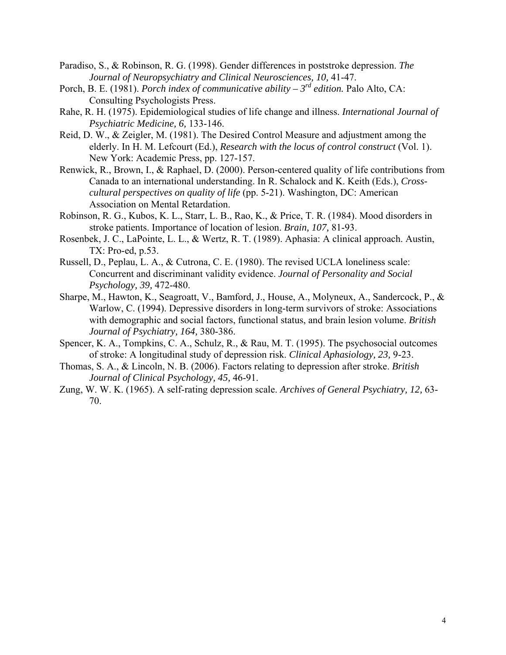- Paradiso, S., & Robinson, R. G. (1998). Gender differences in poststroke depression. *The Journal of Neuropsychiatry and Clinical Neurosciences, 10,* 41-47.
- Porch, B. E. (1981). *Porch index of communicative ability 3rd edition.* Palo Alto, CA: Consulting Psychologists Press.
- Rahe, R. H. (1975). Epidemiological studies of life change and illness. *International Journal of Psychiatric Medicine, 6,* 133-146.
- Reid, D. W., & Zeigler, M. (1981). The Desired Control Measure and adjustment among the elderly. In H. M. Lefcourt (Ed.), *Research with the locus of control construct* (Vol. 1). New York: Academic Press, pp. 127-157.
- Renwick, R., Brown, I., & Raphael, D. (2000). Person-centered quality of life contributions from Canada to an international understanding. In R. Schalock and K. Keith (Eds.), *Crosscultural perspectives on quality of life* (pp. 5-21). Washington, DC: American Association on Mental Retardation.
- Robinson, R. G., Kubos, K. L., Starr, L. B., Rao, K., & Price, T. R. (1984). Mood disorders in stroke patients. Importance of location of lesion. *Brain, 107,* 81-93.
- Rosenbek, J. C., LaPointe, L. L., & Wertz, R. T. (1989). Aphasia: A clinical approach. Austin, TX: Pro-ed, p.53.
- Russell, D., Peplau, L. A., & Cutrona, C. E. (1980). The revised UCLA loneliness scale: Concurrent and discriminant validity evidence. *Journal of Personality and Social Psychology, 39,* 472-480.
- Sharpe, M., Hawton, K., Seagroatt, V., Bamford, J., House, A., Molyneux, A., Sandercock, P., & Warlow, C. (1994). Depressive disorders in long-term survivors of stroke: Associations with demographic and social factors, functional status, and brain lesion volume. *British Journal of Psychiatry, 164,* 380-386.
- Spencer, K. A., Tompkins, C. A., Schulz, R., & Rau, M. T. (1995). The psychosocial outcomes of stroke: A longitudinal study of depression risk. *Clinical Aphasiology, 23,* 9-23.
- Thomas, S. A., & Lincoln, N. B. (2006). Factors relating to depression after stroke. *British Journal of Clinical Psychology, 45,* 46-91.
- Zung, W. W. K. (1965). A self-rating depression scale. *Archives of General Psychiatry, 12,* 63- 70.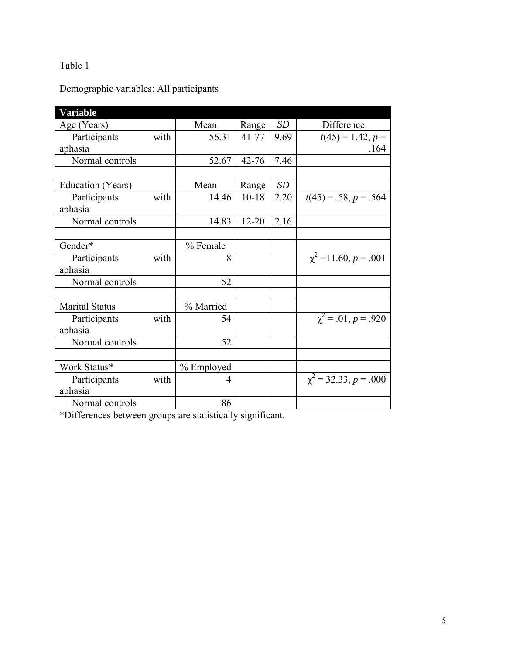# Demographic variables: All participants

| <b>Variable</b>       |      |            |           |           |                            |
|-----------------------|------|------------|-----------|-----------|----------------------------|
| Age (Years)           |      | Mean       | Range     | SD        | Difference                 |
| Participants          | with | 56.31      | $41 - 77$ | 9.69      | $t(45) = 1.42, p =$        |
| aphasia               |      |            |           |           | .164                       |
| Normal controls       |      | 52.67      | $42 - 76$ | 7.46      |                            |
|                       |      |            |           |           |                            |
| Education (Years)     |      | Mean       | Range     | <b>SD</b> |                            |
| Participants          | with | 14.46      | $10 - 18$ | 2.20      | $t(45) = .58, p = .564$    |
| aphasia               |      |            |           |           |                            |
| Normal controls       |      | 14.83      | $12 - 20$ | 2.16      |                            |
|                       |      |            |           |           |                            |
| Gender*               |      | % Female   |           |           |                            |
| Participants          | with | 8          |           |           | $\chi^2$ = 11.60, p = .001 |
| aphasia               |      |            |           |           |                            |
| Normal controls       |      | 52         |           |           |                            |
|                       |      |            |           |           |                            |
| <b>Marital Status</b> |      | % Married  |           |           |                            |
| Participants          | with | 54         |           |           | $\chi^2 = .01, p = .920$   |
| aphasia               |      |            |           |           |                            |
| Normal controls       |      | 52         |           |           |                            |
|                       |      |            |           |           |                            |
| Work Status*          |      | % Employed |           |           |                            |
| Participants          | with | 4          |           |           | $\chi^2$ = 32.33, p = .000 |
| aphasia               |      |            |           |           |                            |
| Normal controls       |      | 86         |           |           |                            |

\*Differences between groups are statistically significant.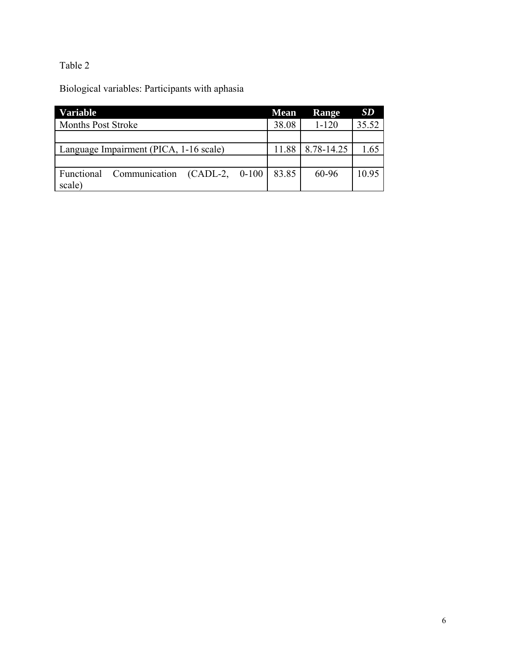Biological variables: Participants with aphasia

| <b>Variable</b>                             | <b>Mean</b> | Range      | SD    |
|---------------------------------------------|-------------|------------|-------|
| <b>Months Post Stroke</b>                   | 38.08       | $1 - 120$  | 35.52 |
|                                             |             |            |       |
| Language Impairment (PICA, 1-16 scale)      | 11.88       | 8.78-14.25 | 1.65  |
|                                             |             |            |       |
| Communication (CADL-2, 0-100)<br>Functional | 83.85       | 60-96      | 10.95 |
| scale)                                      |             |            |       |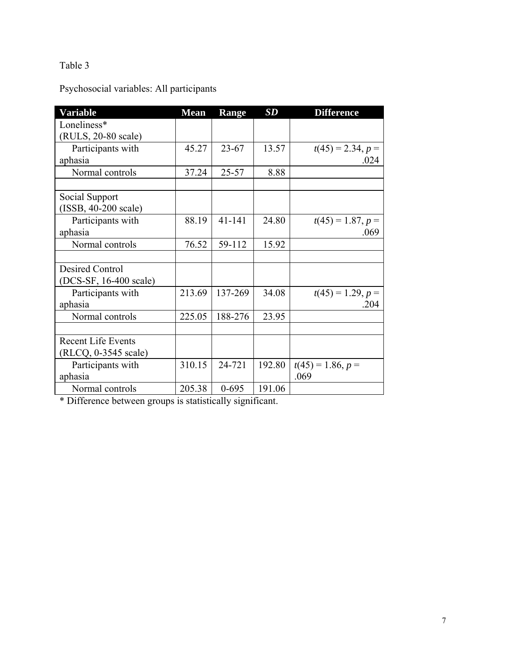Psychosocial variables: All participants

| Variable                  | <b>Mean</b> | Range      | SD     | <b>Difference</b>   |
|---------------------------|-------------|------------|--------|---------------------|
| Loneliness*               |             |            |        |                     |
| (RULS, 20-80 scale)       |             |            |        |                     |
| Participants with         | 45.27       | $23 - 67$  | 13.57  | $t(45) = 2.34, p =$ |
| aphasia                   |             |            |        | .024                |
| Normal controls           | 37.24       | $25 - 57$  | 8.88   |                     |
|                           |             |            |        |                     |
| Social Support            |             |            |        |                     |
| (ISSB, 40-200 scale)      |             |            |        |                     |
| Participants with         | 88.19       | $41 - 141$ | 24.80  | $t(45) = 1.87, p =$ |
| aphasia                   |             |            |        | .069                |
| Normal controls           | 76.52       | 59-112     | 15.92  |                     |
|                           |             |            |        |                     |
| Desired Control           |             |            |        |                     |
| (DCS-SF, 16-400 scale)    |             |            |        |                     |
| Participants with         | 213.69      | 137-269    | 34.08  | $t(45) = 1.29, p =$ |
| aphasia                   |             |            |        | .204                |
| Normal controls           | 225.05      | 188-276    | 23.95  |                     |
|                           |             |            |        |                     |
| <b>Recent Life Events</b> |             |            |        |                     |
| (RLCQ, 0-3545 scale)      |             |            |        |                     |
| Participants with         | 310.15      | 24-721     | 192.80 | $t(45) = 1.86, p =$ |
| aphasia                   |             |            |        | .069                |
| Normal controls           | 205.38      | $0 - 695$  | 191.06 |                     |

\* Difference between groups is statistically significant.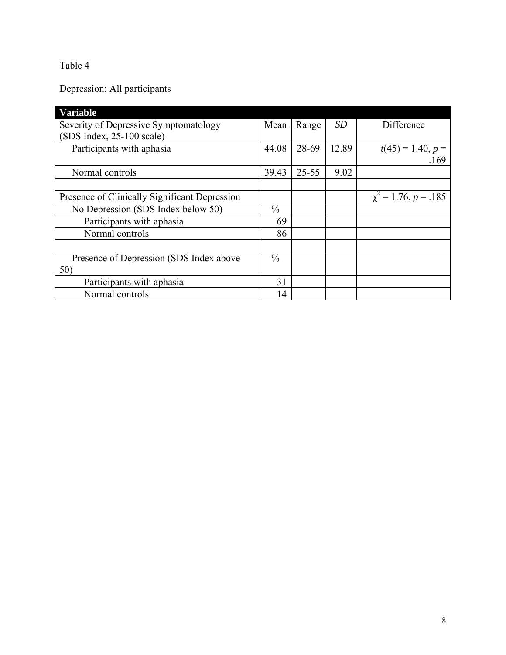Depression: All participants

| <b>Variable</b>                               |               |           |       |                           |
|-----------------------------------------------|---------------|-----------|-------|---------------------------|
| Severity of Depressive Symptomatology         |               | Range     | SD    | Difference                |
| $(SDS Index, 25-100 scale)$                   |               |           |       |                           |
| Participants with aphasia                     | 44.08         | 28-69     | 12.89 | $t(45) = 1.40, p =$       |
|                                               |               |           |       | .169                      |
| Normal controls                               | 39.43         | $25 - 55$ | 9.02  |                           |
|                                               |               |           |       |                           |
| Presence of Clinically Significant Depression |               |           |       | $\chi^2 = 1.76, p = .185$ |
| No Depression (SDS Index below 50)            | $\frac{0}{0}$ |           |       |                           |
| Participants with aphasia                     | 69            |           |       |                           |
| Normal controls                               | 86            |           |       |                           |
|                                               |               |           |       |                           |
| Presence of Depression (SDS Index above       | $\frac{0}{0}$ |           |       |                           |
| 50)                                           |               |           |       |                           |
| Participants with aphasia                     | 31            |           |       |                           |
| Normal controls                               | 14            |           |       |                           |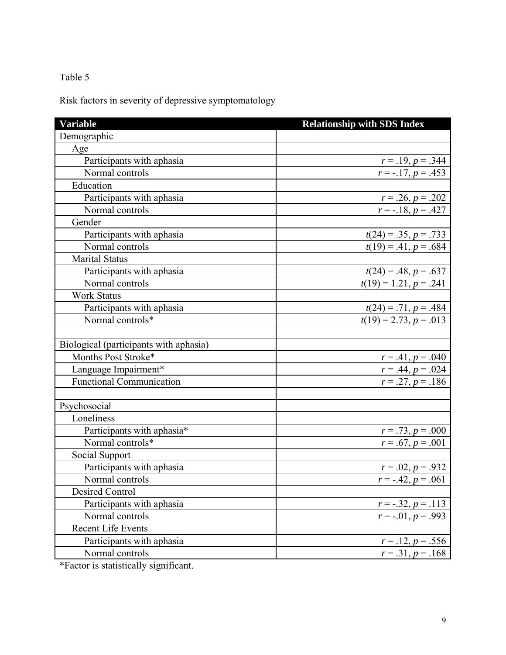Risk factors in severity of depressive symptomatology

| <b>Variable</b>                        | <b>Relationship with SDS Index</b>                  |
|----------------------------------------|-----------------------------------------------------|
| Demographic                            |                                                     |
| Age                                    |                                                     |
| Participants with aphasia              | $r = .19, p = .344$                                 |
| Normal controls                        | $r = -.17, p = .453$                                |
| Education                              |                                                     |
| Participants with aphasia              | $r = .26, p = .202$                                 |
| Normal controls                        | $r = -.18, p = .427$                                |
| Gender                                 |                                                     |
| Participants with aphasia              | $t(24) = .35, p = .733$                             |
| Normal controls                        | $t(19) = .41, p = .684$                             |
| <b>Marital Status</b>                  |                                                     |
| Participants with aphasia              |                                                     |
| Normal controls                        | $t(24) = .48, p = .637$<br>$t(19) = 1.21, p = .241$ |
| <b>Work Status</b>                     |                                                     |
| Participants with aphasia              |                                                     |
| Normal controls*                       | $t(24) = .71, p = .484$<br>$t(19) = 2.73, p = .013$ |
|                                        |                                                     |
| Biological (participants with aphasia) |                                                     |
| Months Post Stroke*                    | $r = .41, p = .040$                                 |
| Language Impairment*                   | $r = .44, p = .024$                                 |
| <b>Functional Communication</b>        | $r = .27, p = .186$                                 |
|                                        |                                                     |
| Psychosocial                           |                                                     |
| Loneliness                             |                                                     |
| Participants with aphasia*             | $r = .73, p = .000$                                 |
| Normal controls*                       | $r = .67, p = .001$                                 |
| Social Support                         |                                                     |
| Participants with aphasia              | $r = .02, p = .932$                                 |
| Normal controls                        | $r = -.42, p = .061$                                |
| Desired Control                        |                                                     |
| Participants with aphasia              | $r = -.32, p = .113$                                |
| Normal controls                        | $r = -01, p = 0.993$                                |
| <b>Recent Life Events</b>              |                                                     |
| Participants with aphasia              | $r = .12, p = .556$                                 |
| Normal controls                        | $r = .31, p = .168$                                 |

\*Factor is statistically significant.